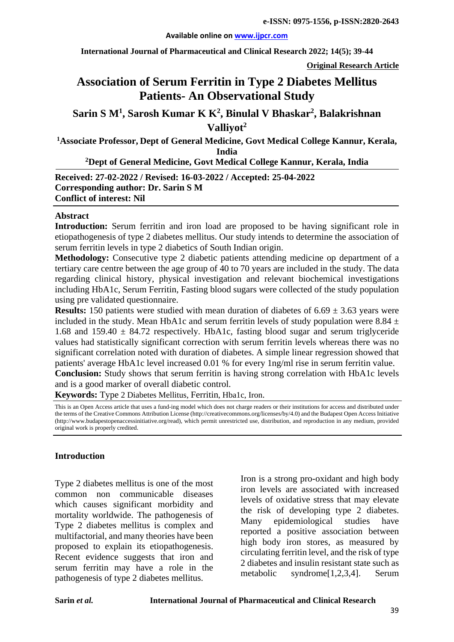#### **Available online on [www.ijpcr.com](http://www.ijpcr.com/)**

**International Journal of Pharmaceutical and Clinical Research 2022; 14(5); 39-44**

**Original Research Article**

# **Association of Serum Ferritin in Type 2 Diabetes Mellitus Patients- An Observational Study**

## **Sarin S M<sup>1</sup> , Sarosh Kumar K K2 , Binulal V Bhaskar2 , Balakrishnan Valliyot2**

**1 Associate Professor, Dept of General Medicine, Govt Medical College Kannur, Kerala, India**

**2 Dept of General Medicine, Govt Medical College Kannur, Kerala, India**

**Received: 27-02-2022 / Revised: 16-03-2022 / Accepted: 25-04-2022 Corresponding author: Dr. Sarin S M Conflict of interest: Nil**

#### **Abstract**

**Introduction:** Serum ferritin and iron load are proposed to be having significant role in etiopathogenesis of type 2 diabetes mellitus. Our study intends to determine the association of serum ferritin levels in type 2 diabetics of South Indian origin.

**Methodology:** Consecutive type 2 diabetic patients attending medicine op department of a tertiary care centre between the age group of 40 to 70 years are included in the study. The data regarding clinical history, physical investigation and relevant biochemical investigations including HbA1c, Serum Ferritin, Fasting blood sugars were collected of the study population using pre validated questionnaire.

**Results:** 150 patients were studied with mean duration of diabetes of  $6.69 \pm 3.63$  years were included in the study. Mean HbA1c and serum ferritin levels of study population were 8.84  $\pm$ 1.68 and 159.40  $\pm$  84.72 respectively. HbA1c, fasting blood sugar and serum triglyceride values had statistically significant correction with serum ferritin levels whereas there was no significant correlation noted with duration of diabetes. A simple linear regression showed that patients' average HbA1c level increased 0.01 % for every 1ng/ml rise in serum ferritin value.

**Conclusion:** Study shows that serum ferritin is having strong correlation with HbA1c levels and is a good marker of overall diabetic control.

**Keywords:** Type 2 Diabetes Mellitus, Ferritin, Hba1c, Iron.

This is an Open Access article that uses a fund-ing model which does not charge readers or their institutions for access and distributed under the terms of the Creative Commons Attribution License (http://creativecommons.org/licenses/by/4.0) and the Budapest Open Access Initiative (http://www.budapestopenaccessinitiative.org/read), which permit unrestricted use, distribution, and reproduction in any medium, provided original work is properly credited.

#### **Introduction**

Type 2 diabetes mellitus is one of the most common non communicable diseases which causes significant morbidity and mortality worldwide. The pathogenesis of Type 2 diabetes mellitus is complex and multifactorial, and many theories have been proposed to explain its etiopathogenesis. Recent evidence suggests that iron and serum ferritin may have a role in the pathogenesis of type 2 diabetes mellitus.

Iron is a strong pro-oxidant and high body iron levels are associated with increased levels of oxidative stress that may elevate the risk of developing type 2 diabetes. Many epidemiological studies have reported a positive association between high body iron stores, as measured by circulating ferritin level, and the risk of type 2 diabetes and insulin resistant state such as metabolic syndrome[1,2,3,4]. Serum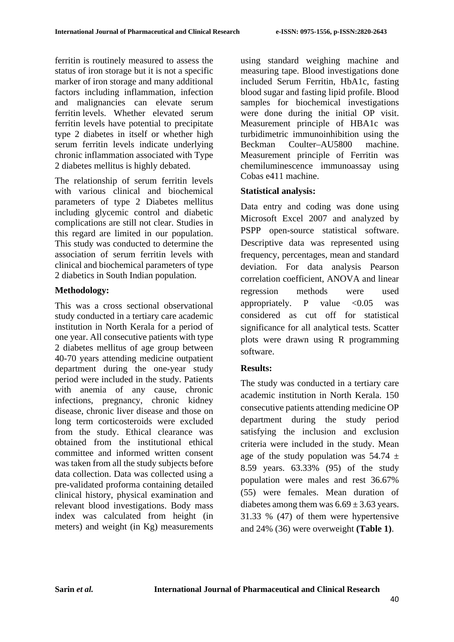ferritin is routinely measured to assess the status of iron storage but it is not a specific marker of iron storage and many additional factors including inflammation, infection and malignancies can elevate serum ferritin levels. Whether elevated serum ferritin levels have potential to precipitate type 2 diabetes in itself or whether high serum ferritin levels indicate underlying chronic inflammation associated with Type 2 diabetes mellitus is highly debated.

The relationship of serum ferritin levels with various clinical and biochemical parameters of type 2 Diabetes mellitus including glycemic control and diabetic complications are still not clear. Studies in this regard are limited in our population. This study was conducted to determine the association of serum ferritin levels with clinical and biochemical parameters of type 2 diabetics in South Indian population.

### **Methodology:**

This was a cross sectional observational study conducted in a tertiary care academic institution in North Kerala for a period of one year. All consecutive patients with type 2 diabetes mellitus of age group between 40-70 years attending medicine outpatient department during the one-year study period were included in the study. Patients with anemia of any cause, chronic infections, pregnancy, chronic kidney disease, chronic liver disease and those on long term corticosteroids were excluded from the study. Ethical clearance was obtained from the institutional ethical committee and informed written consent was taken from all the study subjects before data collection. Data was collected using a pre-validated proforma containing detailed clinical history, physical examination and relevant blood investigations. Body mass index was calculated from height (in meters) and weight (in Kg) measurements

using standard weighing machine and measuring tape. Blood investigations done included Serum Ferritin, HbA1c, fasting blood sugar and fasting lipid profile. Blood samples for biochemical investigations were done during the initial OP visit. Measurement principle of HBA1c was turbidimetric immunoinhibition using the Beckman Coulter–AU5800 machine. Measurement principle of Ferritin was chemiluminescence immunoassay using Cobas e411 machine.

### **Statistical analysis:**

Data entry and coding was done using Microsoft Excel 2007 and analyzed by PSPP open-source statistical software. Descriptive data was represented using frequency, percentages, mean and standard deviation. For data analysis Pearson correlation coefficient, ANOVA and linear regression methods were used appropriately. P value  $\langle 0.05$  was considered as cut off for statistical significance for all analytical tests. Scatter plots were drawn using R programming software.

### **Results:**

The study was conducted in a tertiary care academic institution in North Kerala. 150 consecutive patients attending medicine OP department during the study period satisfying the inclusion and exclusion criteria were included in the study. Mean age of the study population was  $54.74 \pm$ 8.59 years. 63.33% (95) of the study population were males and rest 36.67% (55) were females. Mean duration of diabetes among them was  $6.69 \pm 3.63$  years. 31.33 % (47) of them were hypertensive and 24% (36) were overweight **(Table 1)**.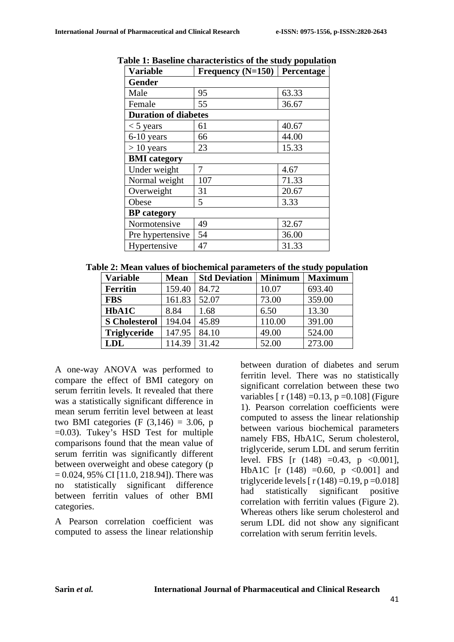| <b>Variable</b>             | Frequency $(N=150)$ | Percentage |  |  |  |
|-----------------------------|---------------------|------------|--|--|--|
| <b>Gender</b>               |                     |            |  |  |  |
| Male                        | 95                  | 63.33      |  |  |  |
| Female                      | 55                  | 36.67      |  |  |  |
| <b>Duration of diabetes</b> |                     |            |  |  |  |
| $<$ 5 years                 | 61                  | 40.67      |  |  |  |
| $6-10$ years                | 66                  | 44.00      |  |  |  |
| $> 10$ years                | 23                  | 15.33      |  |  |  |
| <b>BMI</b> category         |                     |            |  |  |  |
| Under weight                | 7                   | 4.67       |  |  |  |
| Normal weight               | 107                 | 71.33      |  |  |  |
| Overweight                  | 31                  | 20.67      |  |  |  |
| Obese                       | 5                   | 3.33       |  |  |  |
| <b>BP</b> category          |                     |            |  |  |  |
| Normotensive                | 49                  | 32.67      |  |  |  |
| Pre hypertensive            | 54                  | 36.00      |  |  |  |
| Hypertensive                | 47                  | 31.33      |  |  |  |

**Table 1: Baseline characteristics of the study population**

| <b>Variable</b>      | <b>Mean</b> | <b>Std Deviation</b> | <b>Minimum</b> | <b>Maximum</b> |
|----------------------|-------------|----------------------|----------------|----------------|
| <b>Ferritin</b>      | 159.40      | 84.72                | 10.07          | 693.40         |
| <b>FBS</b>           | 161.83      | 52.07                | 73.00          | 359.00         |
| HbA1C                | 8.84        | 1.68                 | 6.50           | 13.30          |
| <b>S</b> Cholesterol | 194.04      | 45.89                | 110.00         | 391.00         |
| <b>Triglyceride</b>  | 147.95      | 84.10                | 49.00          | 524.00         |
| <b>LDL</b>           | 114.39      | 31.42                | 52.00          | 273.00         |

A one-way ANOVA was performed to compare the effect of BMI category on serum ferritin levels. It revealed that there was a statistically significant difference in mean serum ferritin level between at least two BMI categories (F  $(3,146) = 3.06$ , p =0.03). Tukey's HSD Test for multiple comparisons found that the mean value of serum ferritin was significantly different between overweight and obese category (p  $= 0.024, 95\% \text{ CI}$  [11.0, 218.94]). There was no statistically significant difference between ferritin values of other BMI categories.

A Pearson correlation coefficient was computed to assess the linear relationship between duration of diabetes and serum ferritin level. There was no statistically significant correlation between these two variables  $\lceil r (148) = 0.13$ ,  $p = 0.108$  (Figure 1). Pearson correlation coefficients were computed to assess the linear relationship between various biochemical parameters namely FBS, HbA1C, Serum cholesterol, triglyceride, serum LDL and serum ferritin level. FBS  $[r (148) = 0.43, p < 0.001]$ , HbA1C [r  $(148) = 0.60$ , p <0.001] and triglyceride levels  $[r(148) = 0.19, p = 0.018]$ had statistically significant positive correlation with ferritin values (Figure 2). Whereas others like serum cholesterol and serum LDL did not show any significant correlation with serum ferritin levels.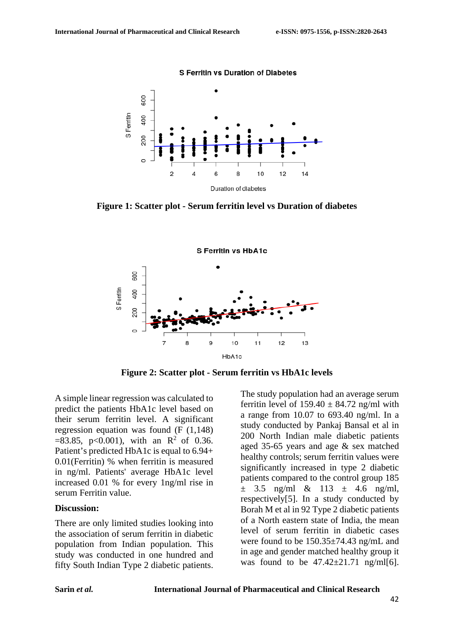

**Figure 1: Scatter plot - Serum ferritin level vs Duration of diabetes**



**Figure 2: Scatter plot - Serum ferritin vs HbA1c levels**

A simple linear regression was calculated to predict the patients HbA1c level based on their serum ferritin level. A significant regression equation was found (F (1,148)  $=83.85$ , p<0.001), with an R<sup>2</sup> of 0.36. Patient's predicted HbA1c is equal to 6.94+ 0.01(Ferritin) % when ferritin is measured in ng/ml. Patients' average HbA1c level increased 0.01 % for every 1ng/ml rise in serum Ferritin value.

#### **Discussion:**

There are only limited studies looking into the association of serum ferritin in diabetic population from Indian population. This study was conducted in one hundred and fifty South Indian Type 2 diabetic patients.

The study population had an average serum ferritin level of  $159.40 \pm 84.72$  ng/ml with a range from 10.07 to 693.40 ng/ml. In a study conducted by Pankaj Bansal et al in 200 North Indian male diabetic patients aged 35-65 years and age & sex matched healthy controls; serum ferritin values were significantly increased in type 2 diabetic patients compared to the control group 185  $\pm$  3.5 ng/ml & 113  $\pm$  4.6 ng/ml, respectively[5]. In a study conducted by Borah M et al in 92 Type 2 diabetic patients of a North eastern state of India, the mean level of serum ferritin in diabetic cases were found to be 150.35±74.43 ng/mL and in age and gender matched healthy group it was found to be  $47.42 \pm 21.71$  ng/ml[6].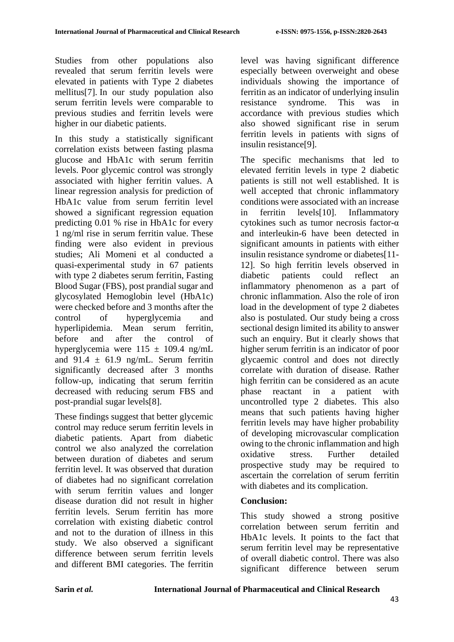Studies from other populations also revealed that serum ferritin levels were elevated in patients with Type 2 diabetes mellitus[7]. In our study population also serum ferritin levels were comparable to previous studies and ferritin levels were higher in our diabetic patients.

In this study a statistically significant correlation exists between fasting plasma glucose and HbA1c with serum ferritin levels. Poor glycemic control was strongly associated with higher ferritin values. A linear regression analysis for prediction of HbA1c value from serum ferritin level showed a significant regression equation predicting 0.01 % rise in HbA1c for every 1 ng/ml rise in serum ferritin value. These finding were also evident in previous studies; Ali Momeni et al conducted a quasi-experimental study in 67 patients with type 2 diabetes serum ferritin, Fasting Blood Sugar (FBS), post prandial sugar and glycosylated Hemoglobin level (HbA1c) were checked before and 3 months after the control of hyperglycemia and hyperlipidemia. Mean serum ferritin, before and after the control of hyperglycemia were  $115 \pm 109.4$  ng/mL and  $91.4 \pm 61.9$  ng/mL. Serum ferritin significantly decreased after 3 months follow-up, indicating that serum ferritin decreased with reducing serum FBS and post-prandial sugar levels[8].

These findings suggest that better glycemic control may reduce serum ferritin levels in diabetic patients. Apart from diabetic control we also analyzed the correlation between duration of diabetes and serum ferritin level. It was observed that duration of diabetes had no significant correlation with serum ferritin values and longer disease duration did not result in higher ferritin levels. Serum ferritin has more correlation with existing diabetic control and not to the duration of illness in this study. We also observed a significant difference between serum ferritin levels and different BMI categories. The ferritin level was having significant difference especially between overweight and obese individuals showing the importance of ferritin as an indicator of underlying insulin resistance syndrome. This was in accordance with previous studies which also showed significant rise in serum ferritin levels in patients with signs of insulin resistance[9].

The specific mechanisms that led to elevated ferritin levels in type 2 diabetic patients is still not well established. It is well accepted that chronic inflammatory conditions were associated with an increase in ferritin levels[10]. Inflammatory cytokines such as tumor necrosis factor-α and interleukin-6 have been detected in significant amounts in patients with either insulin resistance syndrome or diabetes[11- 12]. So high ferritin levels observed in diabetic patients could reflect an inflammatory phenomenon as a part of chronic inflammation. Also the role of iron load in the development of type 2 diabetes also is postulated. Our study being a cross sectional design limited its ability to answer such an enquiry. But it clearly shows that higher serum ferritin is an indicator of poor glycaemic control and does not directly correlate with duration of disease. Rather high ferritin can be considered as an acute phase reactant in a patient with uncontrolled type 2 diabetes. This also means that such patients having higher ferritin levels may have higher probability of developing microvascular complication owing to the chronic inflammation and high<br>oxidative stress. Further detailed oxidative stress. Further detailed prospective study may be required to ascertain the correlation of serum ferritin with diabetes and its complication.

### **Conclusion:**

This study showed a strong positive correlation between serum ferritin and HbA1c levels. It points to the fact that serum ferritin level may be representative of overall diabetic control. There was also significant difference between serum